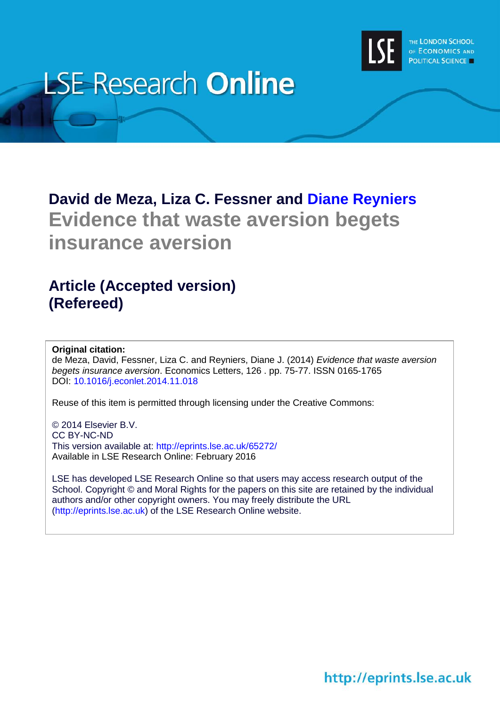

# **LSE Research Online**

## **David de Meza, Liza C. Fessner and [Diane Reyniers](http://www.lse.ac.uk/researchAndExpertise/Experts/profile.aspx?KeyValue=d.j.reyniers@lse.ac.uk) Evidence that waste aversion begets insurance aversion**

## **Article (Accepted version) (Refereed)**

#### **Original citation:**

de Meza, David, Fessner, Liza C. and Reyniers, Diane J. (2014) *Evidence that waste aversion begets insurance aversion*. Economics Letters, 126 . pp. 75-77. ISSN 0165-1765 DOI: [10.1016/j.econlet.2014.11.018](http://dx.doi.org/10.1016/j.econlet.2014.11.018)

Reuse of this item is permitted through licensing under the Creative Commons:

© 2014 Elsevier B.V. CC BY-NC-ND This version available at:<http://eprints.lse.ac.uk/65272/> Available in LSE Research Online: February 2016

LSE has developed LSE Research Online so that users may access research output of the School. Copyright © and Moral Rights for the papers on this site are retained by the individual authors and/or other copyright owners. You may freely distribute the URL (http://eprints.lse.ac.uk) of the LSE Research Online website.

http://eprints.lse.ac.uk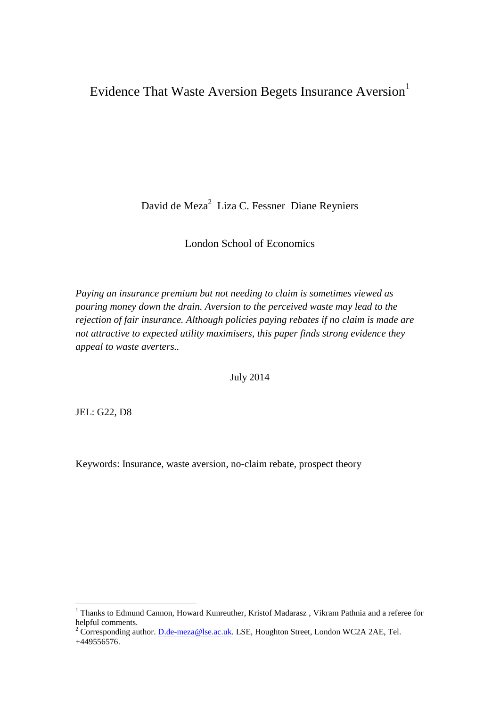### Evidence That Waste Aversion Begets Insurance Aversion<sup>1</sup>

David de Meza<sup>2</sup> Liza C. Fessner Diane Reyniers

London School of Economics

*Paying an insurance premium but not needing to claim is sometimes viewed as pouring money down the drain. Aversion to the perceived waste may lead to the rejection of fair insurance. Although policies paying rebates if no claim is made are not attractive to expected utility maximisers, this paper finds strong evidence they appeal to waste averters..* 

July 2014

JEL: G22, D8

1

Keywords: Insurance, waste aversion, no-claim rebate, prospect theory

<sup>&</sup>lt;sup>1</sup> Thanks to Edmund Cannon, Howard Kunreuther, Kristof Madarasz, Vikram Pathnia and a referee for helpful comments.

<sup>&</sup>lt;sup>2</sup> Corresponding author. <u>D.de-meza@lse.ac.uk</u>. LSE, Houghton Street, London WC2A 2AE, Tel.  $+449556576.$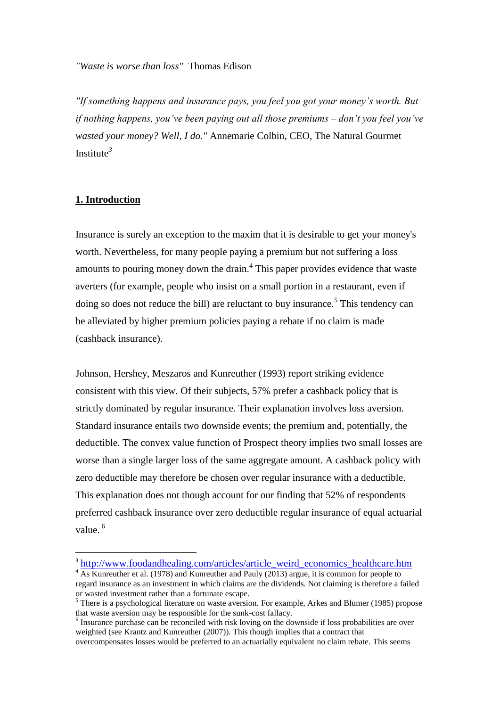*"If something happens and insurance pays, you feel you got your money's worth. But if nothing happens, you've been paying out all those premiums – don't you feel you've wasted your money? Well, I do."* Annemarie Colbin, CEO, The Natural Gourmet Institute*<sup>3</sup>*

#### **1. Introduction**

<u>.</u>

Insurance is surely an exception to the maxim that it is desirable to get your money's worth. Nevertheless, for many people paying a premium but not suffering a loss amounts to pouring money down the drain.<sup>4</sup> This paper provides evidence that waste averters (for example, people who insist on a small portion in a restaurant, even if doing so does not reduce the bill) are reluctant to buy insurance.<sup>5</sup> This tendency can be alleviated by higher premium policies paying a rebate if no claim is made (cashback insurance).

Johnson, Hershey, Meszaros and Kunreuther (1993) report striking evidence consistent with this view. Of their subjects, 57% prefer a cashback policy that is strictly dominated by regular insurance. Their explanation involves loss aversion. Standard insurance entails two downside events; the premium and, potentially, the deductible. The convex value function of Prospect theory implies two small losses are worse than a single larger loss of the same aggregate amount. A cashback policy with zero deductible may therefore be chosen over regular insurance with a deductible. This explanation does not though account for our finding that 52% of respondents preferred cashback insurance over zero deductible regular insurance of equal actuarial value. <sup>6</sup>

<sup>&</sup>lt;sup>3</sup> [http://www.foodandhealing.com/articles/article\\_weird\\_economics\\_healthcare.htm](http://www.foodandhealing.com/articles/article_weird_economics_healthcare.htm)

<sup>&</sup>lt;sup>4</sup> As Kunreuther et al. (1978) and Kunreuther and Pauly (2013) argue, it is common for people to regard insurance as an investment in which claims are the dividends. Not claiming is therefore a failed or wasted investment rather than a fortunate escape.

<sup>&</sup>lt;sup>5</sup> There is a psychological literature on waste aversion. For example, Arkes and Blumer (1985) propose that waste aversion may be responsible for the sunk-cost fallacy.

<sup>&</sup>lt;sup>6</sup> Insurance purchase can be reconciled with risk loving on the downside if loss probabilities are over weighted (see Krantz and Kunreuther (2007)). This though implies that a contract that

overcompensates losses would be preferred to an actuarially equivalent no claim rebate. This seems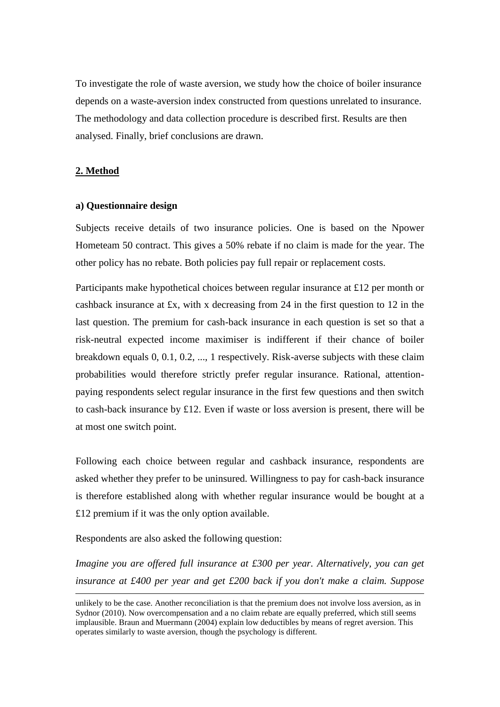To investigate the role of waste aversion, we study how the choice of boiler insurance depends on a waste-aversion index constructed from questions unrelated to insurance. The methodology and data collection procedure is described first. Results are then analysed. Finally, brief conclusions are drawn.

#### **2. Method**

<u>.</u>

#### **a) Questionnaire design**

Subjects receive details of two insurance policies. One is based on the Npower Hometeam 50 contract. This gives a 50% rebate if no claim is made for the year. The other policy has no rebate. Both policies pay full repair or replacement costs.

Participants make hypothetical choices between regular insurance at £12 per month or cashback insurance at £x, with x decreasing from 24 in the first question to 12 in the last question. The premium for cash-back insurance in each question is set so that a risk-neutral expected income maximiser is indifferent if their chance of boiler breakdown equals 0, 0.1, 0.2, ..., 1 respectively. Risk-averse subjects with these claim probabilities would therefore strictly prefer regular insurance. Rational, attentionpaying respondents select regular insurance in the first few questions and then switch to cash-back insurance by £12. Even if waste or loss aversion is present, there will be at most one switch point.

Following each choice between regular and cashback insurance, respondents are asked whether they prefer to be uninsured. Willingness to pay for cash-back insurance is therefore established along with whether regular insurance would be bought at a £12 premium if it was the only option available.

Respondents are also asked the following question:

*Imagine you are offered full insurance at £300 per year. Alternatively, you can get insurance at £400 per year and get £200 back if you don't make a claim. Suppose* 

unlikely to be the case. Another reconciliation is that the premium does not involve loss aversion, as in Sydnor (2010). Now overcompensation and a no claim rebate are equally preferred, which still seems implausible. Braun and Muermann (2004) explain low deductibles by means of regret aversion. This operates similarly to waste aversion, though the psychology is different.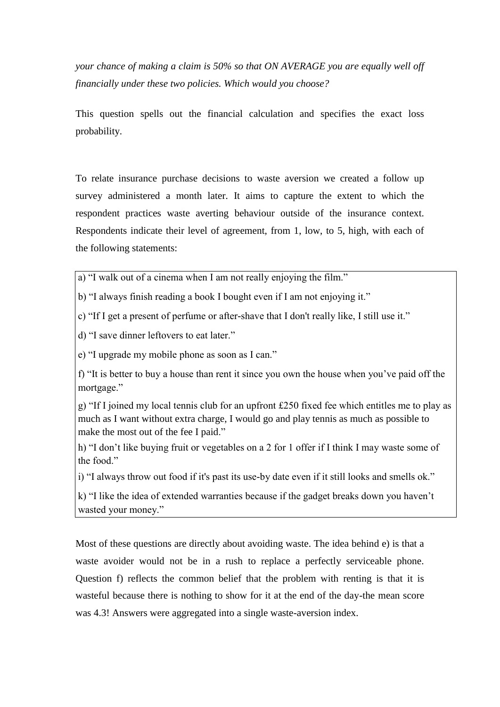*your chance of making a claim is 50% so that ON AVERAGE you are equally well off financially under these two policies. Which would you choose?*

This question spells out the financial calculation and specifies the exact loss probability.

To relate insurance purchase decisions to waste aversion we created a follow up survey administered a month later. It aims to capture the extent to which the respondent practices waste averting behaviour outside of the insurance context. Respondents indicate their level of agreement, from 1, low, to 5, high, with each of the following statements:

a) "I walk out of a cinema when I am not really enjoying the film."

b) "I always finish reading a book I bought even if I am not enjoying it."

c) "If I get a present of perfume or after-shave that I don't really like, I still use it."

d) "I save dinner leftovers to eat later."

e) "I upgrade my mobile phone as soon as I can."

f) "It is better to buy a house than rent it since you own the house when you've paid off the mortgage."

g) "If I joined my local tennis club for an upfront £250 fixed fee which entitles me to play as much as I want without extra charge, I would go and play tennis as much as possible to make the most out of the fee I paid."

h) "I don't like buying fruit or vegetables on a 2 for 1 offer if I think I may waste some of the food."

i) "I always throw out food if it's past its use-by date even if it still looks and smells ok."

k) "I like the idea of extended warranties because if the gadget breaks down you haven't wasted your money."

Most of these questions are directly about avoiding waste. The idea behind e) is that a waste avoider would not be in a rush to replace a perfectly serviceable phone. Question f) reflects the common belief that the problem with renting is that it is wasteful because there is nothing to show for it at the end of the day-the mean score was 4.3! Answers were aggregated into a single waste-aversion index.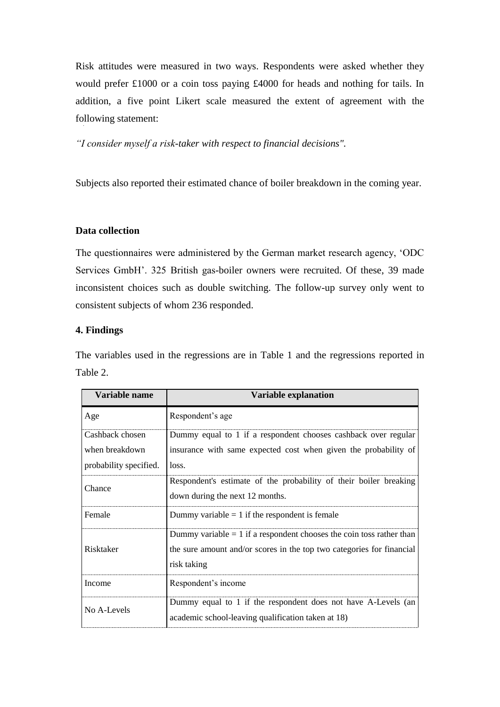Risk attitudes were measured in two ways. Respondents were asked whether they would prefer £1000 or a coin toss paying £4000 for heads and nothing for tails. In addition, a five point Likert scale measured the extent of agreement with the following statement:

*"I consider myself a risk-taker with respect to financial decisions".*

Subjects also reported their estimated chance of boiler breakdown in the coming year.

#### **Data collection**

The questionnaires were administered by the German market research agency, 'ODC Services GmbH'. 325 British gas-boiler owners were recruited. Of these, 39 made inconsistent choices such as double switching. The follow-up survey only went to consistent subjects of whom 236 responded.

#### **4. Findings**

The variables used in the regressions are in Table 1 and the regressions reported in Table 2.

| Variable name          | <b>Variable explanation</b>                                            |
|------------------------|------------------------------------------------------------------------|
| Age                    | Respondent's age                                                       |
| Cashback chosen        | Dummy equal to 1 if a respondent chooses cashback over regular         |
| when breakdown         | insurance with same expected cost when given the probability of        |
| probability specified. | loss.                                                                  |
| Chance                 | Respondent's estimate of the probability of their boiler breaking      |
|                        | down during the next 12 months.                                        |
| Female                 | Dummy variable $= 1$ if the respondent is female                       |
|                        | Dummy variable $= 1$ if a respondent chooses the coin toss rather than |
| Risktaker              | the sure amount and/or scores in the top two categories for financial  |
|                        | risk taking                                                            |
| Income                 | Respondent's income                                                    |
| No A-Levels            | Dummy equal to 1 if the respondent does not have A-Levels (an          |
|                        | academic school-leaving qualification taken at 18)                     |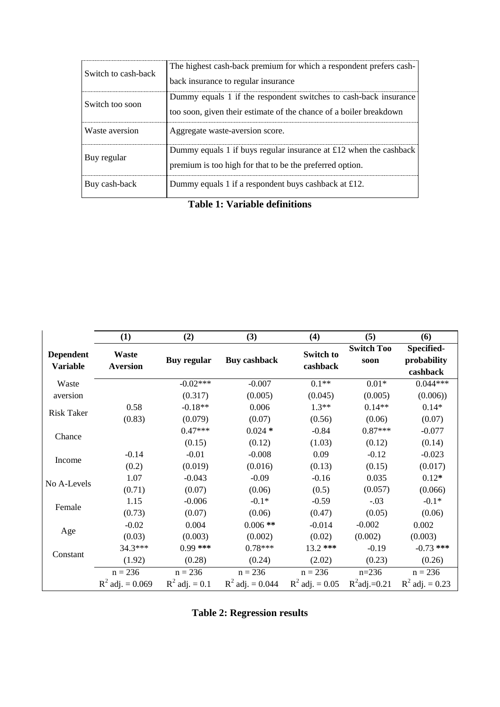| Switch to cash-back | The highest cash-back premium for which a respondent prefers cash-<br>back insurance to regular insurance                              |
|---------------------|----------------------------------------------------------------------------------------------------------------------------------------|
| Switch too soon     | Dummy equals 1 if the respondent switches to cash-back insurance<br>too soon, given their estimate of the chance of a boiler breakdown |
| Waste aversion      | Aggregate waste-aversion score.                                                                                                        |
| Buy regular         | Dummy equals 1 if buys regular insurance at £12 when the cashback<br>premium is too high for that to be the preferred option.          |
| Buy cash-back       | Dummy equals 1 if a respondent buys cashback at $£12$ .                                                                                |

|  | <b>Table 1: Variable definitions</b> |
|--|--------------------------------------|
|  |                                      |

|                                     | (1)                             | (2)                | (3)                 | (4)                   | (5)                       | (6)                                   |
|-------------------------------------|---------------------------------|--------------------|---------------------|-----------------------|---------------------------|---------------------------------------|
| <b>Dependent</b><br><b>Variable</b> | <b>Waste</b><br><b>Aversion</b> | <b>Buy regular</b> | <b>Buy cashback</b> | Switch to<br>cashback | <b>Switch Too</b><br>soon | Specified-<br>probability<br>cashback |
| Waste                               |                                 | $-0.02***$         | $-0.007$            | $0.1**$               | $0.01*$                   | $0.044***$                            |
| aversion                            |                                 | (0.317)            | (0.005)             | (0.045)               | (0.005)                   | (0.006)                               |
| <b>Risk Taker</b>                   | 0.58                            | $-0.18**$          | 0.006               | $1.3**$               | $0.14**$                  | $0.14*$                               |
|                                     | (0.83)                          | (0.079)            | (0.07)              | (0.56)                | (0.06)                    | (0.07)                                |
| Chance                              |                                 | $0.47***$          | $0.024*$            | $-0.84$               | $0.87***$                 | $-0.077$                              |
|                                     |                                 | (0.15)             | (0.12)              | (1.03)                | (0.12)                    | (0.14)                                |
| Income                              | $-0.14$                         | $-0.01$            | $-0.008$            | 0.09                  | $-0.12$                   | $-0.023$                              |
|                                     | (0.2)                           | (0.019)            | (0.016)             | (0.13)                | (0.15)                    | (0.017)                               |
| No A-Levels                         | 1.07                            | $-0.043$           | $-0.09$             | $-0.16$               | 0.035                     | $0.12*$                               |
|                                     | (0.71)                          | (0.07)             | (0.06)              | (0.5)                 | (0.057)                   | (0.066)                               |
| Female                              | 1.15                            | $-0.006$           | $-0.1*$             | $-0.59$               | $-.03$                    | $-0.1*$                               |
|                                     | (0.73)                          | (0.07)             | (0.06)              | (0.47)                | (0.05)                    | (0.06)                                |
| Age                                 | $-0.02$                         | 0.004              | $0.006$ **          | $-0.014$              | $-0.002$                  | 0.002                                 |
|                                     | (0.03)                          | (0.003)            | (0.002)             | (0.02)                | (0.002)                   | (0.003)                               |
| Constant                            | 34.3***                         | $0.99$ ***         | $0.78***$           | $13.2$ ***            | $-0.19$                   | $-0.73$ ***                           |
|                                     | (1.92)                          | (0.28)             | (0.24)              | (2.02)                | (0.23)                    | (0.26)                                |
|                                     | $n = 236$                       | $n = 236$          | $n = 236$           | $n = 236$             | $n = 236$                 | $n = 236$                             |
|                                     | $R^2$ adj. = 0.069              | $R^2$ adj. = 0.1   | $R^2$ adj. = 0.044  | $R^2$ adj. = 0.05     | $R^2$ adj.=0.21           | $R^2$ adj. = 0.23                     |

|  | <b>Table 2: Regression results</b> |  |
|--|------------------------------------|--|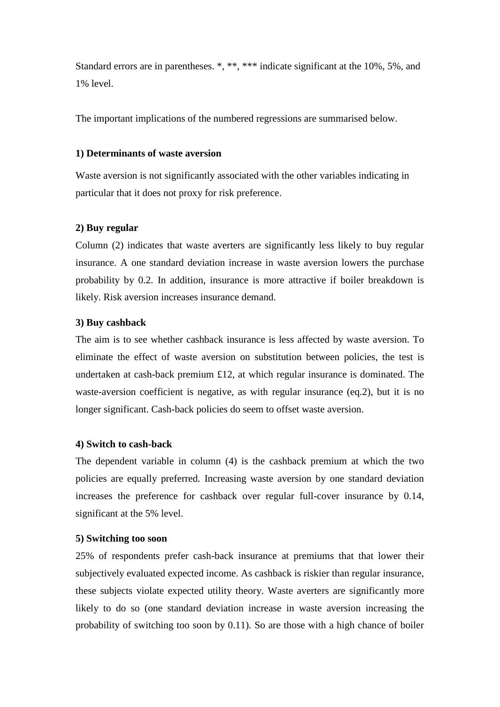Standard errors are in parentheses. \*, \*\*, \*\*\* indicate significant at the 10%, 5%, and 1% level.

The important implications of the numbered regressions are summarised below.

#### **1) Determinants of waste aversion**

Waste aversion is not significantly associated with the other variables indicating in particular that it does not proxy for risk preference.

#### **2) Buy regular**

Column (2) indicates that waste averters are significantly less likely to buy regular insurance. A one standard deviation increase in waste aversion lowers the purchase probability by 0.2. In addition, insurance is more attractive if boiler breakdown is likely. Risk aversion increases insurance demand.

#### **3) Buy cashback**

The aim is to see whether cashback insurance is less affected by waste aversion. To eliminate the effect of waste aversion on substitution between policies, the test is undertaken at cash-back premium £12, at which regular insurance is dominated. The waste-aversion coefficient is negative, as with regular insurance (eq.2), but it is no longer significant. Cash-back policies do seem to offset waste aversion.

#### **4) Switch to cash-back**

The dependent variable in column (4) is the cashback premium at which the two policies are equally preferred. Increasing waste aversion by one standard deviation increases the preference for cashback over regular full-cover insurance by 0.14, significant at the 5% level.

#### **5) Switching too soon**

25% of respondents prefer cash-back insurance at premiums that that lower their subjectively evaluated expected income. As cashback is riskier than regular insurance, these subjects violate expected utility theory. Waste averters are significantly more likely to do so (one standard deviation increase in waste aversion increasing the probability of switching too soon by 0.11). So are those with a high chance of boiler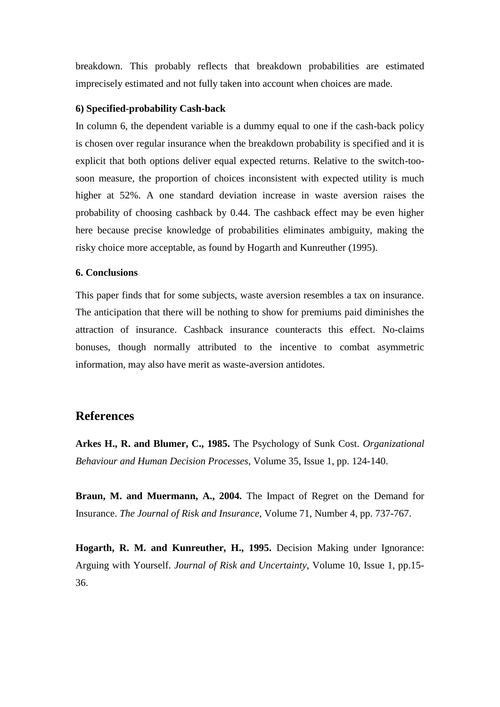breakdown. This probably reflects that breakdown probabilities are estimated imprecisely estimated and not fully taken into account when choices are made.

#### **6) Specified-probability Cash-back**

In column 6, the dependent variable is a dummy equal to one if the cash-back policy is chosen over regular insurance when the breakdown probability is specified and it is explicit that both options deliver equal expected returns. Relative to the switch-toosoon measure, the proportion of choices inconsistent with expected utility is much higher at 52%. A one standard deviation increase in waste aversion raises the probability of choosing cashback by 0.44. The cashback effect may be even higher here because precise knowledge of probabilities eliminates ambiguity, making the risky choice more acceptable, as found by Hogarth and Kunreuther (1995).

#### **6. Conclusions**

This paper finds that for some subjects, waste aversion resembles a tax on insurance. The anticipation that there will be nothing to show for premiums paid diminishes the attraction of insurance. Cashback insurance counteracts this effect. No-claims bonuses, though normally attributed to the incentive to combat asymmetric information, may also have merit as waste-aversion antidotes.

#### **References**

**Arkes H., R. and Blumer, C., 1985.** The Psychology of Sunk Cost. *Organizational Behaviour and Human Decision Processes*, Volume 35, Issue 1, pp. 124-140.

**Braun, M. and Muermann, A., 2004.** The Impact of Regret on the Demand for Insurance. *The Journal of Risk and Insurance*, Volume 71, Number 4, pp. 737-767.

**Hogarth, R. M. and Kunreuther, H., 1995.** Decision Making under Ignorance: Arguing with Yourself. *Journal of Risk and Uncertainty*, Volume 10, Issue 1, pp.15- 36.